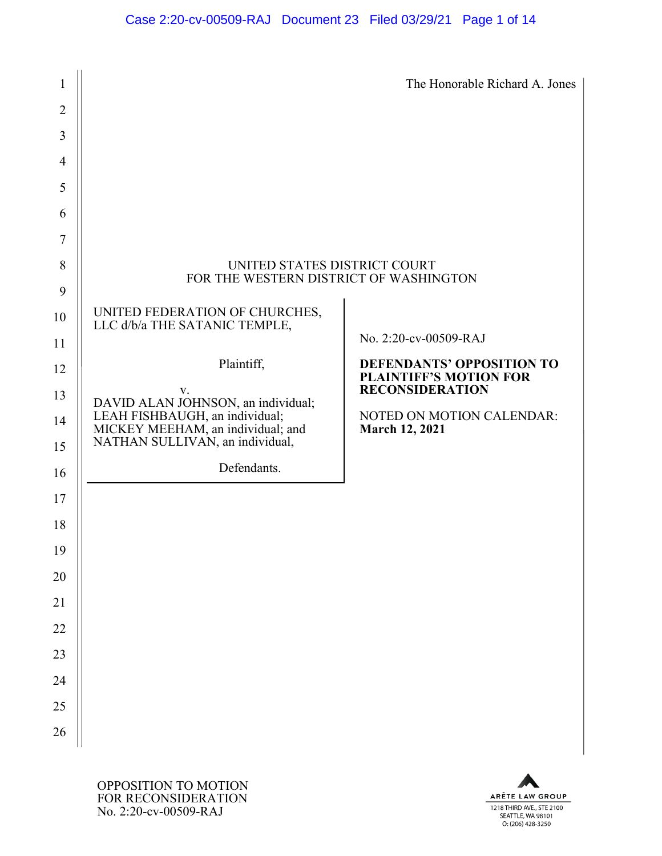#### Case 2:20-cv-00509-RAJ Document 23 Filed 03/29/21 Page 1 of 14

| $\mathbf{1}$   |                                                                        | The Honorable Richard A. Jones                                    |
|----------------|------------------------------------------------------------------------|-------------------------------------------------------------------|
| $\overline{2}$ |                                                                        |                                                                   |
| 3              |                                                                        |                                                                   |
| $\overline{4}$ |                                                                        |                                                                   |
| 5              |                                                                        |                                                                   |
| 6              |                                                                        |                                                                   |
| $\tau$         |                                                                        |                                                                   |
| 8<br>9         | UNITED STATES DISTRICT COURT<br>FOR THE WESTERN DISTRICT OF WASHINGTON |                                                                   |
| 10             | UNITED FEDERATION OF CHURCHES,<br>LLC d/b/a THE SATANIC TEMPLE,        |                                                                   |
| 11             |                                                                        | No. 2:20-cv-00509-RAJ                                             |
| 12             | Plaintiff,                                                             | <b>DEFENDANTS' OPPOSITION TO</b><br><b>PLAINTIFF'S MOTION FOR</b> |
| 13             | V.<br>DAVID ALAN JOHNSON, an individual;                               | <b>RECONSIDERATION</b>                                            |
| 14             | LEAH FISHBAUGH, an individual;<br>MICKEY MEEHAM, an individual; and    | NOTED ON MOTION CALENDAR:<br><b>March 12, 2021</b>                |
| 15             | NATHAN SULLIVAN, an individual,                                        |                                                                   |
| 16             | Defendants.                                                            |                                                                   |
| 17             |                                                                        |                                                                   |
| 18             |                                                                        |                                                                   |
| 19             |                                                                        |                                                                   |
| 20             |                                                                        |                                                                   |
| 21             |                                                                        |                                                                   |
| 22             |                                                                        |                                                                   |
| 23             |                                                                        |                                                                   |
| 24             |                                                                        |                                                                   |
| 25             |                                                                        |                                                                   |
| 26             |                                                                        |                                                                   |

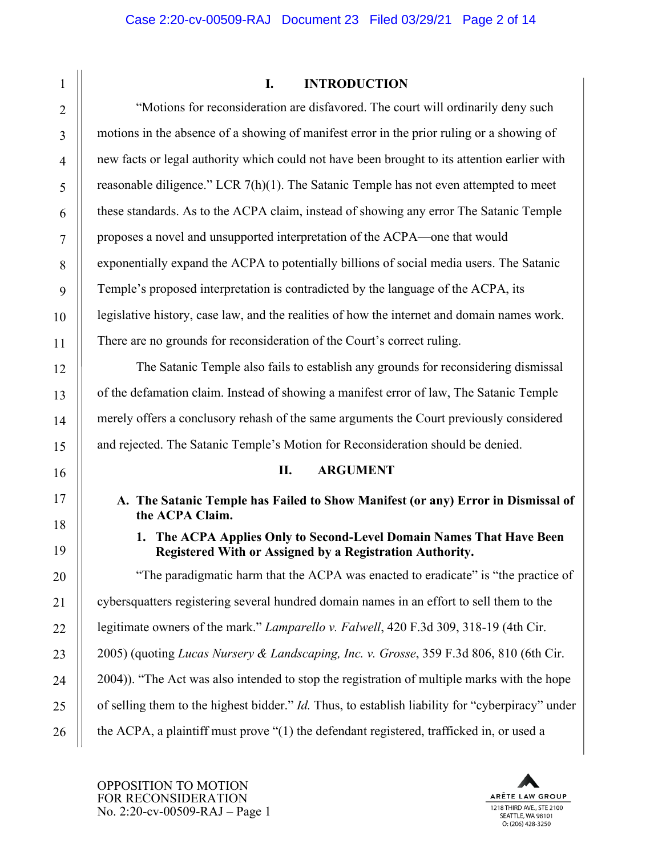#### **I. INTRODUCTION**

"Motions for reconsideration are disfavored. The court will ordinarily deny such motions in the absence of a showing of manifest error in the prior ruling or a showing of new facts or legal authority which could not have been brought to its attention earlier with reasonable diligence." LCR  $7(h)(1)$ . The Satanic Temple has not even attempted to meet these standards. As to the ACPA claim, instead of showing any error The Satanic Temple proposes a novel and unsupported interpretation of the ACPA—one that would exponentially expand the ACPA to potentially billions of social media users. The Satanic Temple's proposed interpretation is contradicted by the language of the ACPA, its legislative history, case law, and the realities of how the internet and domain names work. There are no grounds for reconsideration of the Court's correct ruling.

The Satanic Temple also fails to establish any grounds for reconsidering dismissal of the defamation claim. Instead of showing a manifest error of law, The Satanic Temple merely offers a conclusory rehash of the same arguments the Court previously considered and rejected. The Satanic Temple's Motion for Reconsideration should be denied.

#### **II. ARGUMENT**

**A. The Satanic Temple has Failed to Show Manifest (or any) Error in Dismissal of the ACPA Claim.**

**1. The ACPA Applies Only to Second-Level Domain Names That Have Been Registered With or Assigned by a Registration Authority.**

"The paradigmatic harm that the ACPA was enacted to eradicate" is "the practice of cybersquatters registering several hundred domain names in an effort to sell them to the legitimate owners of the mark." *Lamparello v. Falwell*, 420 F.3d 309, 318-19 (4th Cir. 2005) (quoting *Lucas Nursery & Landscaping, Inc. v. Grosse*, 359 F.3d 806, 810 (6th Cir. 2004)). "The Act was also intended to stop the registration of multiple marks with the hope of selling them to the highest bidder." *Id.* Thus, to establish liability for "cyberpiracy" under the ACPA, a plaintiff must prove "(1) the defendant registered, trafficked in, or used a

OPPOSITION TO MOTION FOR RECONSIDERATION No. 2:20-cv-00509-RAJ – Page 1

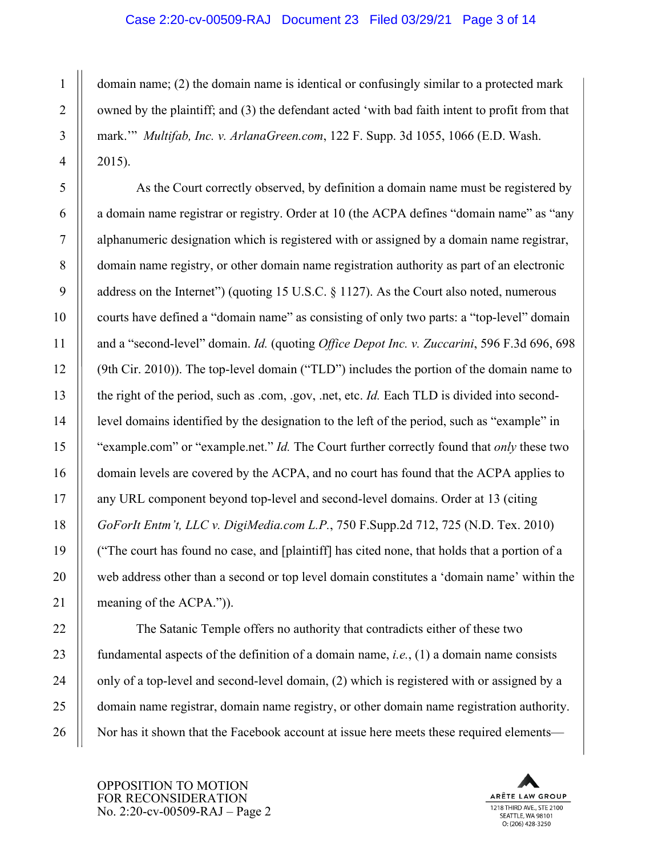#### Case 2:20-cv-00509-RAJ Document 23 Filed 03/29/21 Page 3 of 14

domain name; (2) the domain name is identical or confusingly similar to a protected mark owned by the plaintiff; and (3) the defendant acted 'with bad faith intent to profit from that mark.'" *Multifab, Inc. v. ArlanaGreen.com*, 122 F. Supp. 3d 1055, 1066 (E.D. Wash. 2015).

As the Court correctly observed, by definition a domain name must be registered by a domain name registrar or registry. Order at 10 (the ACPA defines "domain name" as "any alphanumeric designation which is registered with or assigned by a domain name registrar, domain name registry, or other domain name registration authority as part of an electronic address on the Internet") (quoting 15 U.S.C. § 1127). As the Court also noted, numerous courts have defined a "domain name" as consisting of only two parts: a "top-level" domain and a "second-level" domain. *Id.* (quoting *Office Depot Inc. v. Zuccarini*, 596 F.3d 696, 698 (9th Cir. 2010)). The top-level domain ("TLD") includes the portion of the domain name to the right of the period, such as .com, .gov, .net, etc. *Id.* Each TLD is divided into secondlevel domains identified by the designation to the left of the period, such as "example" in "example.com" or "example.net." *Id.* The Court further correctly found that *only* these two domain levels are covered by the ACPA, and no court has found that the ACPA applies to any URL component beyond top-level and second-level domains. Order at 13 (citing *GoForIt Entm't, LLC v. DigiMedia.com L.P.*, 750 F.Supp.2d 712, 725 (N.D. Tex. 2010) ("The court has found no case, and [plaintiff] has cited none, that holds that a portion of a web address other than a second or top level domain constitutes a 'domain name' within the meaning of the ACPA.")).

The Satanic Temple offers no authority that contradicts either of these two fundamental aspects of the definition of a domain name, *i.e.*, (1) a domain name consists only of a top-level and second-level domain, (2) which is registered with or assigned by a domain name registrar, domain name registry, or other domain name registration authority. Nor has it shown that the Facebook account at issue here meets these required elements—

OPPOSITION TO MOTION FOR RECONSIDERATION No. 2:20-cv-00509-RAJ – Page 2

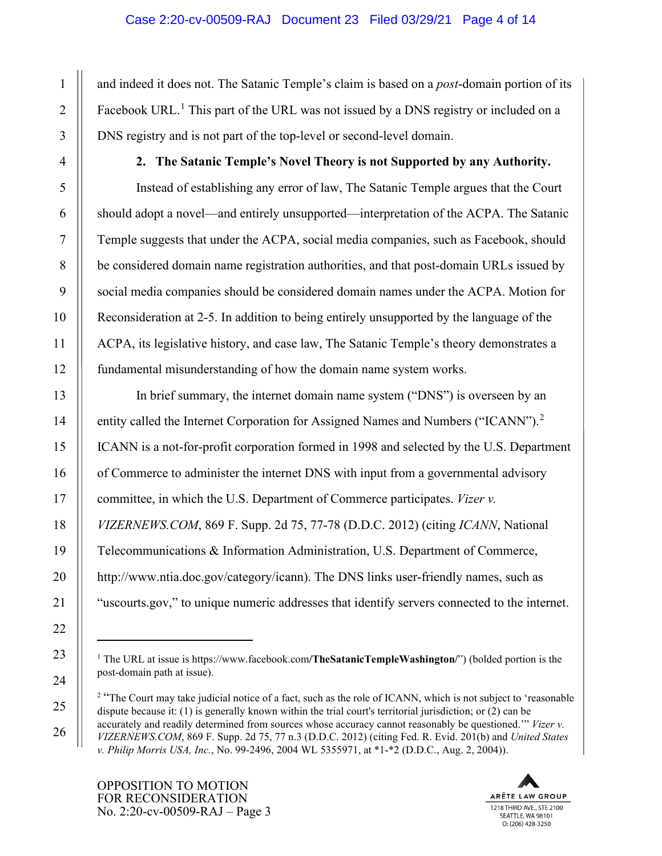#### Case 2:20-cv-00509-RAJ Document 23 Filed 03/29/21 Page 4 of 14

and indeed it does not. The Satanic Temple's claim is based on a *post*-domain portion of its Facebook URL.<sup>[1](#page-3-0)</sup> This part of the URL was not issued by a DNS registry or included on a DNS registry and is not part of the top-level or second-level domain.

**2. The Satanic Temple's Novel Theory is not Supported by any Authority.**

Instead of establishing any error of law, The Satanic Temple argues that the Court should adopt a novel—and entirely unsupported—interpretation of the ACPA. The Satanic Temple suggests that under the ACPA, social media companies, such as Facebook, should be considered domain name registration authorities, and that post-domain URLs issued by social media companies should be considered domain names under the ACPA. Motion for Reconsideration at 2-5. In addition to being entirely unsupported by the language of the ACPA, its legislative history, and case law, The Satanic Temple's theory demonstrates a fundamental misunderstanding of how the domain name system works.

In brief summary, the internet domain name system ("DNS") is overseen by an entity called the Internet Corporation for Assigned Names and Numbers ("ICANN").<sup>[2](#page-3-1)</sup> ICANN is a not-for-profit corporation formed in 1998 and selected by the U.S. Department of Commerce to administer the internet DNS with input from a governmental advisory committee, in which the U.S. Department of Commerce participates. *Vizer v. VIZERNEWS.COM*, 869 F. Supp. 2d 75, 77-78 (D.D.C. 2012) (citing *ICANN*, National Telecommunications & Information Administration, U.S. Department of Commerce, http://www.ntia.doc.gov/category/icann). The DNS links user-friendly names, such as "uscourts.gov," to unique numeric addresses that identify servers connected to the internet.



<span id="page-3-0"></span><sup>1</sup> The URL at issue is https://www.facebook.com**/TheSatanicTempleWashington/**") (bolded portion is the post-domain path at issue).

<span id="page-3-1"></span><sup>&</sup>lt;sup>2</sup> "The Court may take judicial notice of a fact, such as the role of ICANN, which is not subject to 'reasonable dispute because it: (1) is generally known within the trial court's territorial jurisdiction; or (2) can be accurately and readily determined from sources whose accuracy cannot reasonably be questioned.'" *Vizer v. VIZERNEWS.COM*, 869 F. Supp. 2d 75, 77 n.3 (D.D.C. 2012) (citing Fed. R. Evid. 201(b) and *United States v. Philip Morris USA, Inc.*, No. 99-2496, 2004 WL 5355971, at \*1-\*2 (D.D.C., Aug. 2, 2004)).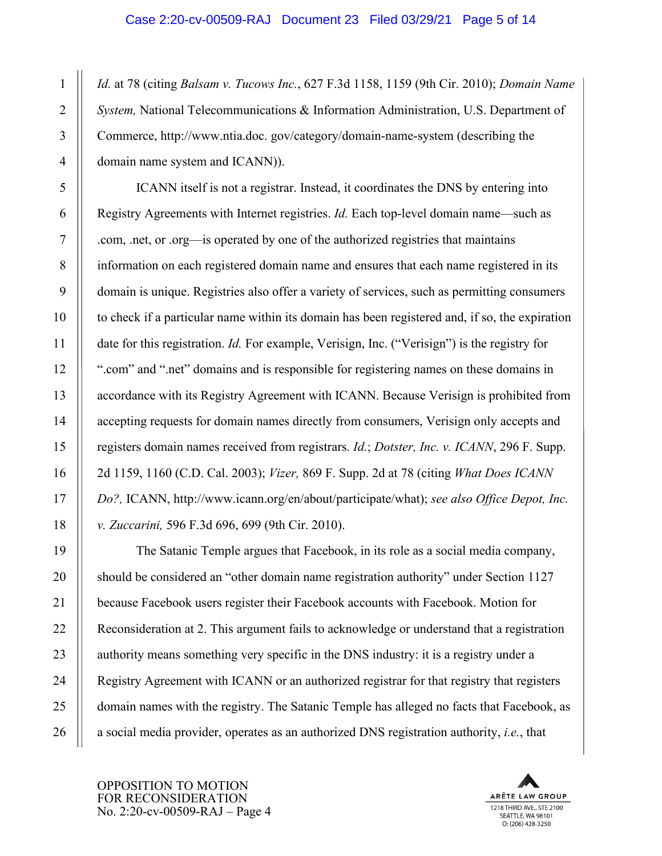#### Case 2:20-cv-00509-RAJ Document 23 Filed 03/29/21 Page 5 of 14

*Id.* at 78 (citing *Balsam v. Tucows Inc.*, 627 F.3d 1158, 1159 (9th Cir. 2010); *Domain Name System,* National Telecommunications & Information Administration, U.S. Department of Commerce, http://www.ntia.doc. gov/category/domain-name-system (describing the domain name system and ICANN)).

ICANN itself is not a registrar. Instead, it coordinates the DNS by entering into Registry Agreements with Internet registries. *Id.* Each top-level domain name—such as .com, .net, or .org—is operated by one of the authorized registries that maintains information on each registered domain name and ensures that each name registered in its domain is unique. Registries also offer a variety of services, such as permitting consumers to check if a particular name within its domain has been registered and, if so, the expiration date for this registration. *Id.* For example, Verisign, Inc. ("Verisign") is the registry for ".com" and ".net" domains and is responsible for registering names on these domains in accordance with its Registry Agreement with ICANN. Because Verisign is prohibited from accepting requests for domain names directly from consumers, Verisign only accepts and registers domain names received from registrars. *Id.*; *Dotster, Inc. v. ICANN*, 296 F. Supp. 2d 1159, 1160 (C.D. Cal. 2003); *Vizer,* 869 F. Supp. 2d at 78 (citing *What Does ICANN Do?,* ICANN, http://www.icann.org/en/about/participate/what); *see also Office Depot, Inc. v. Zuccarini,* 596 F.3d 696, 699 (9th Cir. 2010).

The Satanic Temple argues that Facebook, in its role as a social media company, should be considered an "other domain name registration authority" under Section 1127 because Facebook users register their Facebook accounts with Facebook. Motion for Reconsideration at 2. This argument fails to acknowledge or understand that a registration authority means something very specific in the DNS industry: it is a registry under a Registry Agreement with ICANN or an authorized registrar for that registry that registers domain names with the registry. The Satanic Temple has alleged no facts that Facebook, as a social media provider, operates as an authorized DNS registration authority, *i.e.*, that

OPPOSITION TO MOTION FOR RECONSIDERATION No. 2:20-cv-00509-RAJ – Page 4



1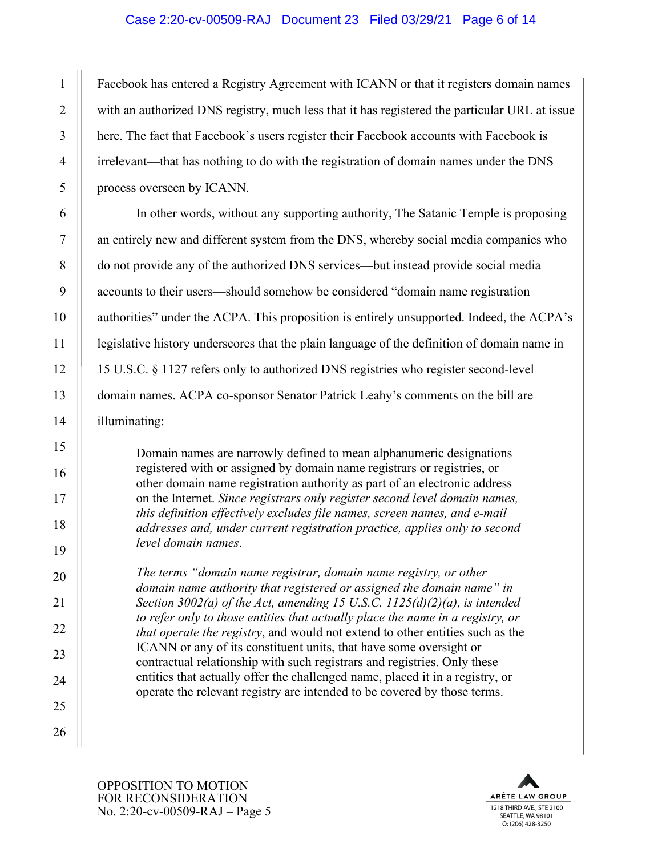#### Case 2:20-cv-00509-RAJ Document 23 Filed 03/29/21 Page 6 of 14

Facebook has entered a Registry Agreement with ICANN or that it registers domain names with an authorized DNS registry, much less that it has registered the particular URL at issue here. The fact that Facebook's users register their Facebook accounts with Facebook is irrelevant—that has nothing to do with the registration of domain names under the DNS process overseen by ICANN.

In other words, without any supporting authority, The Satanic Temple is proposing an entirely new and different system from the DNS, whereby social media companies who do not provide any of the authorized DNS services—but instead provide social media accounts to their users—should somehow be considered "domain name registration authorities" under the ACPA. This proposition is entirely unsupported. Indeed, the ACPA's legislative history underscores that the plain language of the definition of domain name in 15 U.S.C. § 1127 refers only to authorized DNS registries who register second-level domain names. ACPA co-sponsor Senator Patrick Leahy's comments on the bill are illuminating:

Domain names are narrowly defined to mean alphanumeric designations registered with or assigned by domain name registrars or registries, or other domain name registration authority as part of an electronic address on the Internet. *Since registrars only register second level domain names, this definition effectively excludes file names, screen names, and e-mail addresses and, under current registration practice, applies only to second level domain names*.

*The terms "domain name registrar, domain name registry, or other domain name authority that registered or assigned the domain name" in Section 3002(a) of the Act, amending 15 U.S.C. 1125(d)(2)(a), is intended to refer only to those entities that actually place the name in a registry, or that operate the registry*, and would not extend to other entities such as the ICANN or any of its constituent units, that have some oversight or contractual relationship with such registrars and registries. Only these entities that actually offer the challenged name, placed it in a registry, or operate the relevant registry are intended to be covered by those terms.



SEATTLE, WA 98101 O: (206) 428-3250

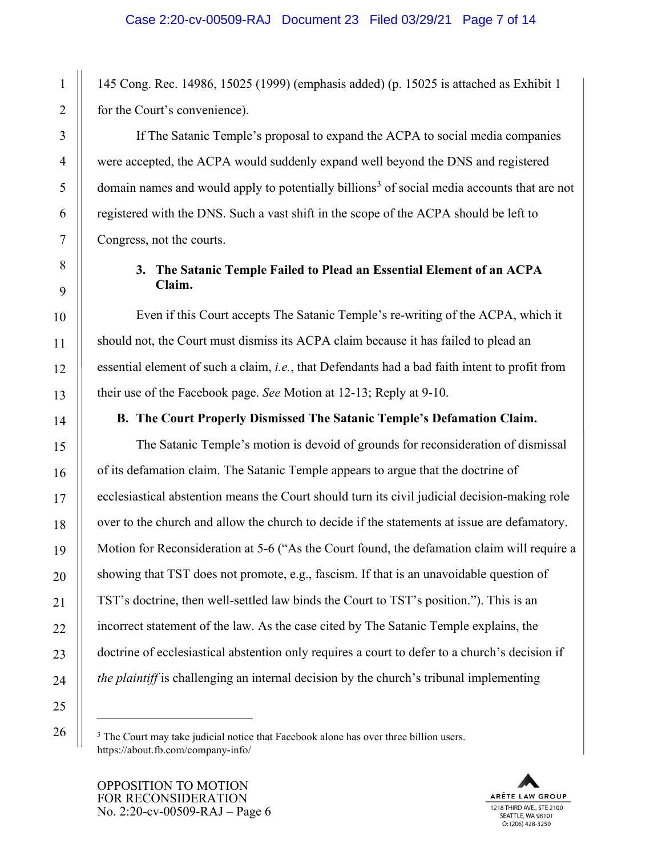145 Cong. Rec. 14986, 15025 (1999) (emphasis added) (p. 15025 is attached as Exhibit 1 for the Court's convenience).

If The Satanic Temple's proposal to expand the ACPA to social media companies were accepted, the ACPA would suddenly expand well beyond the DNS and registered domain names and would apply to potentially billions<sup>[3](#page-6-0)</sup> of social media accounts that are not registered with the DNS. Such a vast shift in the scope of the ACPA should be left to Congress, not the courts.

#### **3. The Satanic Temple Failed to Plead an Essential Element of an ACPA Claim.**

Even if this Court accepts The Satanic Temple's re-writing of the ACPA, which it should not, the Court must dismiss its ACPA claim because it has failed to plead an essential element of such a claim, *i.e.*, that Defendants had a bad faith intent to profit from their use of the Facebook page. *See* Motion at 12-13; Reply at 9-10.

#### **B. The Court Properly Dismissed The Satanic Temple's Defamation Claim.**

The Satanic Temple's motion is devoid of grounds for reconsideration of dismissal of its defamation claim. The Satanic Temple appears to argue that the doctrine of ecclesiastical abstention means the Court should turn its civil judicial decision-making role over to the church and allow the church to decide if the statements at issue are defamatory. Motion for Reconsideration at 5-6 ("As the Court found, the defamation claim will require a showing that TST does not promote, e.g., fascism. If that is an unavoidable question of TST's doctrine, then well-settled law binds the Court to TST's position."). This is an incorrect statement of the law. As the case cited by The Satanic Temple explains, the doctrine of ecclesiastical abstention only requires a court to defer to a church's decision if *the plaintiff* is challenging an internal decision by the church's tribunal implementing

<span id="page-6-0"></span><sup>3</sup> The Court may take judicial notice that Facebook alone has over three billion users. https://about.fb.com/company-info/

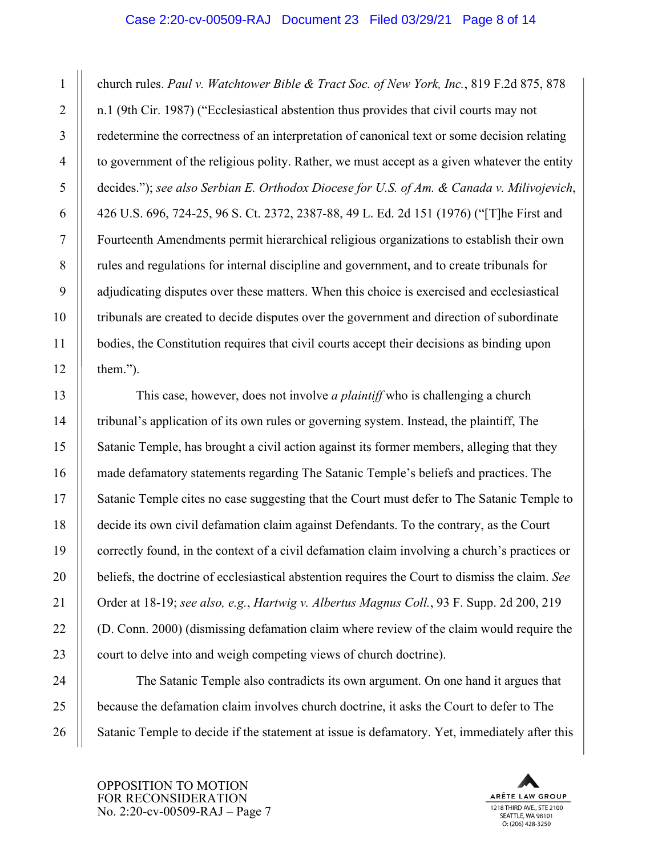#### Case 2:20-cv-00509-RAJ Document 23 Filed 03/29/21 Page 8 of 14

church rules. *Paul v. Watchtower Bible & Tract Soc. of New York, Inc.*, 819 F.2d 875, 878 n.1 (9th Cir. 1987) ("Ecclesiastical abstention thus provides that civil courts may not redetermine the correctness of an interpretation of canonical text or some decision relating to government of the religious polity. Rather, we must accept as a given whatever the entity decides."); *see also Serbian E. Orthodox Diocese for U.S. of Am. & Canada v. Milivojevich*, 426 U.S. 696, 724-25, 96 S. Ct. 2372, 2387-88, 49 L. Ed. 2d 151 (1976) ("[T]he First and Fourteenth Amendments permit hierarchical religious organizations to establish their own rules and regulations for internal discipline and government, and to create tribunals for adjudicating disputes over these matters. When this choice is exercised and ecclesiastical tribunals are created to decide disputes over the government and direction of subordinate bodies, the Constitution requires that civil courts accept their decisions as binding upon them.").

This case, however, does not involve *a plaintiff* who is challenging a church tribunal's application of its own rules or governing system. Instead, the plaintiff, The Satanic Temple, has brought a civil action against its former members, alleging that they made defamatory statements regarding The Satanic Temple's beliefs and practices. The Satanic Temple cites no case suggesting that the Court must defer to The Satanic Temple to decide its own civil defamation claim against Defendants. To the contrary, as the Court correctly found, in the context of a civil defamation claim involving a church's practices or beliefs, the doctrine of ecclesiastical abstention requires the Court to dismiss the claim. *See*  Order at 18-19; *see also, e.g.*, *Hartwig v. Albertus Magnus Coll.*, 93 F. Supp. 2d 200, 219 (D. Conn. 2000) (dismissing defamation claim where review of the claim would require the court to delve into and weigh competing views of church doctrine).

The Satanic Temple also contradicts its own argument. On one hand it argues that because the defamation claim involves church doctrine, it asks the Court to defer to The Satanic Temple to decide if the statement at issue is defamatory. Yet, immediately after this

OPPOSITION TO MOTION FOR RECONSIDERATION No. 2:20-cv-00509-RAJ – Page 7



1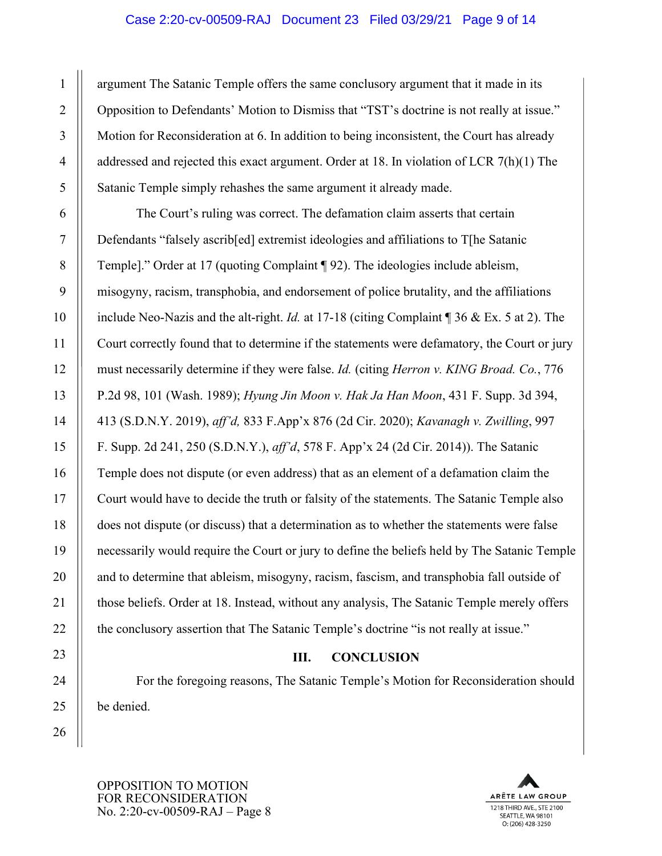#### Case 2:20-cv-00509-RAJ Document 23 Filed 03/29/21 Page 9 of 14

argument The Satanic Temple offers the same conclusory argument that it made in its Opposition to Defendants' Motion to Dismiss that "TST's doctrine is not really at issue." Motion for Reconsideration at 6. In addition to being inconsistent, the Court has already addressed and rejected this exact argument. Order at 18. In violation of LCR 7(h)(1) The Satanic Temple simply rehashes the same argument it already made.

The Court's ruling was correct. The defamation claim asserts that certain Defendants "falsely ascrib[ed] extremist ideologies and affiliations to T[he Satanic Temple]." Order at 17 (quoting Complaint ¶ 92). The ideologies include ableism, misogyny, racism, transphobia, and endorsement of police brutality, and the affiliations include Neo-Nazis and the alt-right. *Id.* at 17-18 (citing Complaint ¶ 36 & Ex. 5 at 2). The Court correctly found that to determine if the statements were defamatory, the Court or jury must necessarily determine if they were false. *Id.* (citing *Herron v. KING Broad. Co.*, 776 P.2d 98, 101 (Wash. 1989); *Hyung Jin Moon v. Hak Ja Han Moon*, 431 F. Supp. 3d 394, 413 (S.D.N.Y. 2019), *aff'd,* 833 F.App'x 876 (2d Cir. 2020); *Kavanagh v. Zwilling*, 997 F. Supp. 2d 241, 250 (S.D.N.Y.), *aff'd*, 578 F. App'x 24 (2d Cir. 2014)). The Satanic Temple does not dispute (or even address) that as an element of a defamation claim the Court would have to decide the truth or falsity of the statements. The Satanic Temple also does not dispute (or discuss) that a determination as to whether the statements were false necessarily would require the Court or jury to define the beliefs held by The Satanic Temple and to determine that ableism, misogyny, racism, fascism, and transphobia fall outside of those beliefs. Order at 18. Instead, without any analysis, The Satanic Temple merely offers the conclusory assertion that The Satanic Temple's doctrine "is not really at issue."

#### **III. CONCLUSION**

For the foregoing reasons, The Satanic Temple's Motion for Reconsideration should be denied.



OPPOSITION TO MOTION FOR RECONSIDERATION No. 2:20-cv-00509-RAJ – Page 8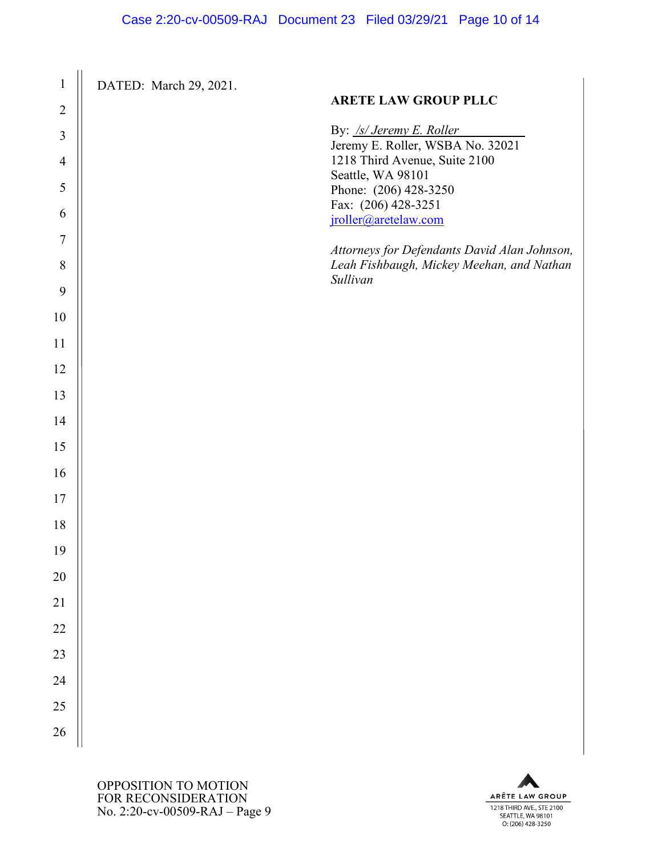| $\mathbf{1}$   | DATED: March 29, 2021. |                                                                                                       |
|----------------|------------------------|-------------------------------------------------------------------------------------------------------|
| $\overline{2}$ |                        | <b>ARETE LAW GROUP PLLC</b>                                                                           |
| 3              |                        | By: /s/ Jeremy E. Roller<br>Jeremy E. Roller, WSBA No. 32021                                          |
| $\overline{4}$ |                        | 1218 Third Avenue, Suite 2100                                                                         |
| 5              |                        | Seattle, WA 98101<br>Phone: (206) 428-3250                                                            |
| 6              |                        | Fax: (206) 428-3251<br>jroller@aretelaw.com                                                           |
| $\tau$         |                        |                                                                                                       |
| $8\,$          |                        | Attorneys for Defendants David Alan Johnson,<br>Leah Fishbaugh, Mickey Meehan, and Nathan<br>Sullivan |
| 9              |                        |                                                                                                       |
| 10             |                        |                                                                                                       |
| 11             |                        |                                                                                                       |
| 12             |                        |                                                                                                       |
| 13             |                        |                                                                                                       |
| 14             |                        |                                                                                                       |
| 15             |                        |                                                                                                       |
| 16             |                        |                                                                                                       |
| 17             |                        |                                                                                                       |
| 18             |                        |                                                                                                       |
| 19             |                        |                                                                                                       |
| $20\,$         |                        |                                                                                                       |
| $21\,$         |                        |                                                                                                       |
| $22\,$         |                        |                                                                                                       |
| 23             |                        |                                                                                                       |
| $24\,$         |                        |                                                                                                       |
| 25             |                        |                                                                                                       |
| 26             |                        |                                                                                                       |

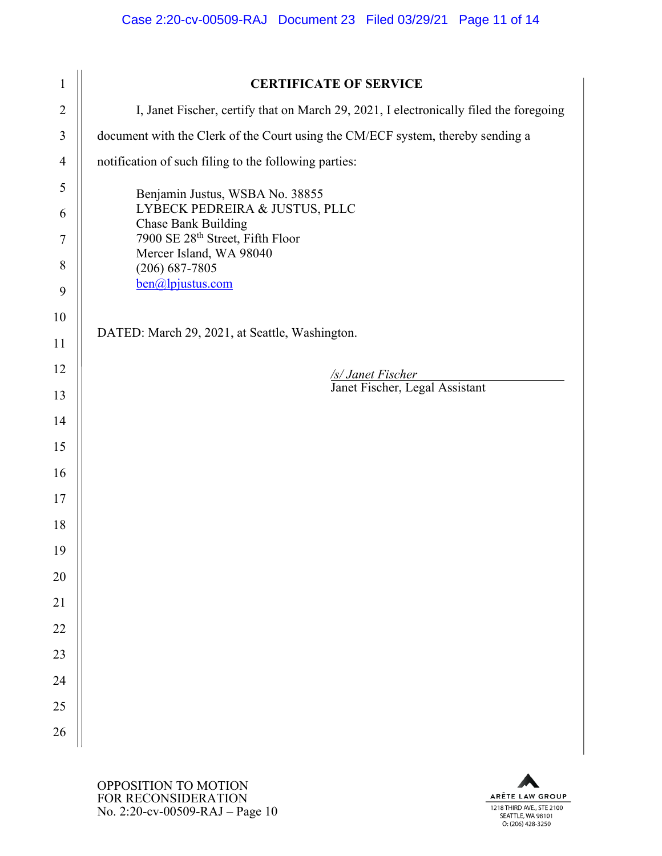| $\mathbf{1}$   | <b>CERTIFICATE OF SERVICE</b>                                                          |  |
|----------------|----------------------------------------------------------------------------------------|--|
| $\overline{2}$ | I, Janet Fischer, certify that on March 29, 2021, I electronically filed the foregoing |  |
| 3              | document with the Clerk of the Court using the CM/ECF system, thereby sending a        |  |
| $\overline{4}$ | notification of such filing to the following parties:                                  |  |
| 5              | Benjamin Justus, WSBA No. 38855                                                        |  |
| 6              | LYBECK PEDREIRA & JUSTUS, PLLC<br><b>Chase Bank Building</b>                           |  |
| 7              | 7900 SE 28 <sup>th</sup> Street, Fifth Floor<br>Mercer Island, WA 98040                |  |
| 8              | $(206) 687 - 7805$                                                                     |  |
| 9              | ben@lpjustus.com                                                                       |  |
| 10             |                                                                                        |  |
| 11             | DATED: March 29, 2021, at Seattle, Washington.                                         |  |
| 12             | /s/ Janet Fischer                                                                      |  |
| 13             | Janet Fischer, Legal Assistant                                                         |  |
| 14             |                                                                                        |  |
| 15             |                                                                                        |  |
| 16             |                                                                                        |  |
| 17             |                                                                                        |  |
| 18             |                                                                                        |  |
| 19             |                                                                                        |  |
| $20\,$         |                                                                                        |  |
| 21             |                                                                                        |  |
| $22\,$         |                                                                                        |  |
| 23             |                                                                                        |  |
| 24             |                                                                                        |  |
| 25             |                                                                                        |  |
| 26             |                                                                                        |  |

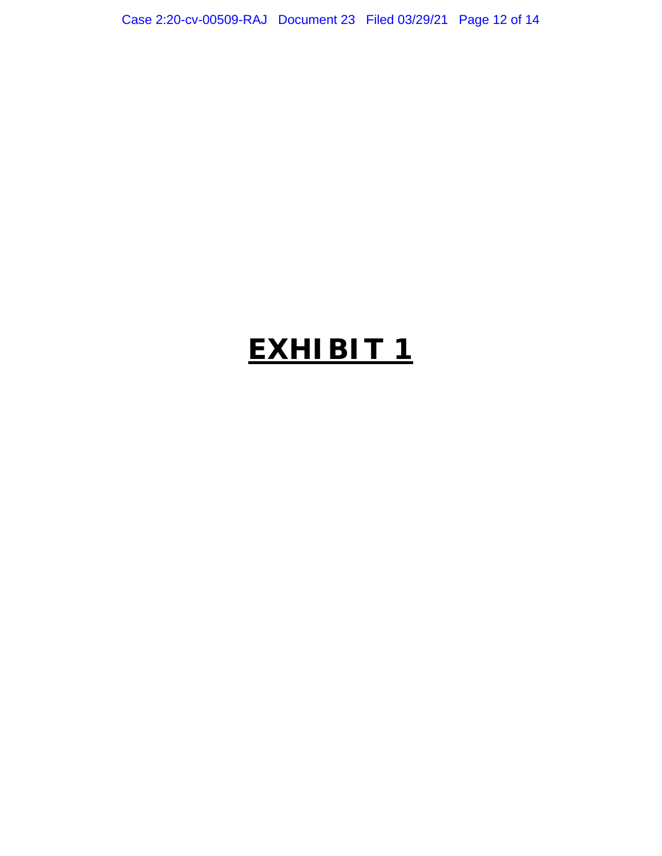Case 2:20-cv-00509-RAJ Document 23 Filed 03/29/21 Page 12 of 14

## **EXHIBIT 1**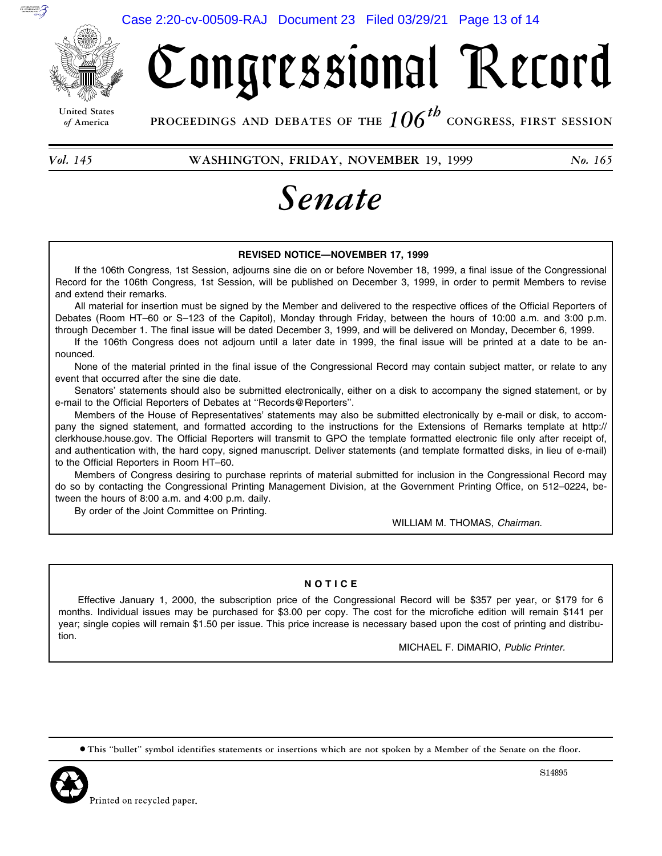

# Congressional Record

**United States**

*of* **America PROCEEDINGS AND DEBATES OF THE** *106th*  **CONGRESS, FIRST SESSION**

*Vol. 145* **WASHINGTON, FRIDAY, NOVEMBER 19, 1999** *No. 165* 

## *Senate*

#### **REVISED NOTICE—NOVEMBER 17, 1999**

If the 106th Congress, 1st Session, adjourns sine die on or before November 18, 1999, a final issue of the Congressional Record for the 106th Congress, 1st Session, will be published on December 3, 1999, in order to permit Members to revise and extend their remarks.

All material for insertion must be signed by the Member and delivered to the respective offices of the Official Reporters of Debates (Room HT–60 or S–123 of the Capitol), Monday through Friday, between the hours of 10:00 a.m. and 3:00 p.m. through December 1. The final issue will be dated December 3, 1999, and will be delivered on Monday, December 6, 1999.

If the 106th Congress does not adjourn until a later date in 1999, the final issue will be printed at a date to be announced.

None of the material printed in the final issue of the Congressional Record may contain subject matter, or relate to any event that occurred after the sine die date.

Senators' statements should also be submitted electronically, either on a disk to accompany the signed statement, or by e-mail to the Official Reporters of Debates at ''Records@Reporters''.

Members of the House of Representatives' statements may also be submitted electronically by e-mail or disk, to accompany the signed statement, and formatted according to the instructions for the Extensions of Remarks template at http:// clerkhouse.house.gov. The Official Reporters will transmit to GPO the template formatted electronic file only after receipt of, and authentication with, the hard copy, signed manuscript. Deliver statements (and template formatted disks, in lieu of e-mail) to the Official Reporters in Room HT–60.

Members of Congress desiring to purchase reprints of material submitted for inclusion in the Congressional Record may do so by contacting the Congressional Printing Management Division, at the Government Printing Office, on 512–0224, between the hours of 8:00 a.m. and 4:00 p.m. daily.

By order of the Joint Committee on Printing.

WILLIAM M. THOMAS, *Chairman.* 

#### **N O T I C E**

Effective January 1, 2000, the subscription price of the Congressional Record will be \$357 per year, or \$179 for 6 months. Individual issues may be purchased for \$3.00 per copy. The cost for the microfiche edition will remain \$141 per year; single copies will remain \$1.50 per issue. This price increase is necessary based upon the cost of printing and distribution.

MICHAEL F. DiMARIO, *Public Printer.* 

∑ **This ''bullet'' symbol identifies statements or insertions which are not spoken by a Member of the Senate on the floor.**